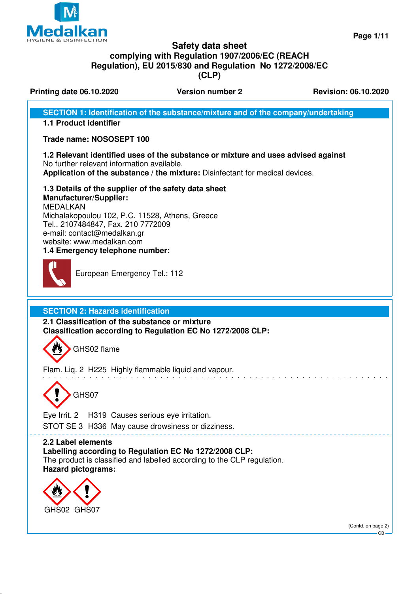

**Page 1/11**

# **Safety data sheet complying with Regulation 1907/2006/EC (REACH Regulation), EU 2015/830 and Regulation No 1272/2008/EC (CLP)**

**Printing date 06.10.2020 Version number 2 Revision: 06.10.2020** 

**SECTION 1: Identification of the substance/mixture and of the company/undertaking**

# **1.1 Product identifier**

# **Trade name: NOSOSEPT 100**

# **1.2 Relevant identified uses of the substance or mixture and uses advised against**

No further relevant information available. **Application of the substance / the mixture:** Disinfectant for medical devices.

**1.3 Details of the supplier of the safety data sheet Manufacturer/Supplier:** MEDALKAN Michalakopoulou 102, P.C. 11528, Athens, Greece Tel.. 2107484847, Fax. 210 7772009 e-mail: contact@medalkan.gr website: www.medalkan.com **1.4 Emergency telephone number:**



European Emergency Tel.: 112

**SECTION 2: Hazards identification**

**2.1 Classification of the substance or mixture Classification according to Regulation EC No 1272/2008 CLP:**



Flam. Liq. 2 H225 Highly flammable liquid and vapour.



Eye Irrit. 2 H319 Causes serious eye irritation. STOT SE 3 H336 May cause drowsiness or dizziness.

# **2.2 Label elements**

**Labelling according to Regulation EC No 1272/2008 CLP:**

The product is classified and labelled according to the CLP regulation. **Hazard pictograms:**



(Contd. on page 2)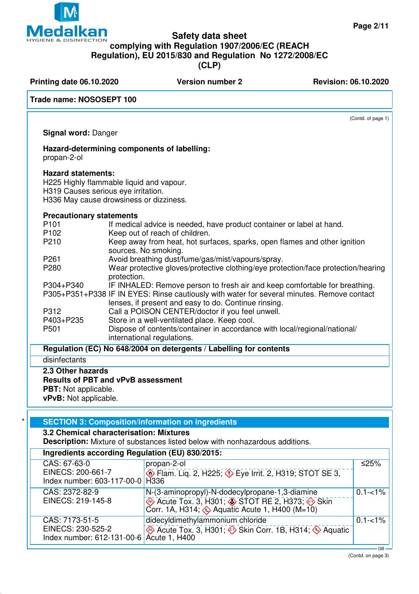# **Safety data sheet**

# **complying with Regulation 1907/2006/EC (REACH**

**Regulation), EU 2015/830 and Regulation No 1272/2008/EC**

**(CLP)**

| Printing date 06.10.2020                                                                                                                                |             | <b>Version number 2</b>                                                                                 | <b>Revision: 06.10.2020</b> |
|---------------------------------------------------------------------------------------------------------------------------------------------------------|-------------|---------------------------------------------------------------------------------------------------------|-----------------------------|
| Trade name: NOSOSEPT 100                                                                                                                                |             |                                                                                                         |                             |
|                                                                                                                                                         |             |                                                                                                         | (Contd. of page 1)          |
| Signal word: Danger                                                                                                                                     |             |                                                                                                         |                             |
| propan-2-ol                                                                                                                                             |             | Hazard-determining components of labelling:                                                             |                             |
| <b>Hazard statements:</b><br>H225 Highly flammable liquid and vapour.<br>H319 Causes serious eye irritation.<br>H336 May cause drowsiness or dizziness. |             |                                                                                                         |                             |
| <b>Precautionary statements</b>                                                                                                                         |             |                                                                                                         |                             |
| P <sub>101</sub>                                                                                                                                        |             | If medical advice is needed, have product container or label at hand.                                   |                             |
| P <sub>102</sub>                                                                                                                                        |             | Keep out of reach of children.                                                                          |                             |
| P210                                                                                                                                                    |             | Keep away from heat, hot surfaces, sparks, open flames and other ignition<br>sources. No smoking.       |                             |
| P <sub>261</sub>                                                                                                                                        |             | Avoid breathing dust/fume/gas/mist/vapours/spray.                                                       |                             |
| P280                                                                                                                                                    | protection. | Wear protective gloves/protective clothing/eye protection/face protection/hearing                       |                             |
| P304+P340                                                                                                                                               |             | IF INHALED: Remove person to fresh air and keep comfortable for breathing.                              |                             |
|                                                                                                                                                         |             | P305+P351+P338 IF IN EYES: Rinse cautiously with water for several minutes. Remove contact              |                             |
|                                                                                                                                                         |             | lenses, if present and easy to do. Continue rinsing.                                                    |                             |
| P312                                                                                                                                                    |             | Call a POISON CENTER/doctor if you feel unwell.                                                         |                             |
| P403+P235                                                                                                                                               |             | Store in a well-ventilated place. Keep cool.                                                            |                             |
| P501                                                                                                                                                    |             | Dispose of contents/container in accordance with local/regional/national/<br>international regulations. |                             |
|                                                                                                                                                         |             | Regulation (EC) No 648/2004 on detergents / Labelling for contents                                      |                             |
| disinfectants                                                                                                                                           |             |                                                                                                         |                             |
| 2.3 Other hazards<br><b>Results of PBT and vPvB assessment</b><br><b>PBT:</b> Not applicable.<br>vPvB: Not applicable.                                  |             |                                                                                                         |                             |

# **SECTION 3: Composition/information on ingredients**

# **3.2 Chemical characterisation: Mixtures**

**Description:** Mixture of substances listed below with nonhazardous additions.

| Ingredients according Regulation (EU) 830/2015:               |                                                                                         |             |  |  |
|---------------------------------------------------------------|-----------------------------------------------------------------------------------------|-------------|--|--|
| CAS: 67-63-0                                                  | propan-2-ol                                                                             | $≤25%$      |  |  |
| EINECS: 200-661-7<br>Index number: 603-117-00-0   H336        | Exp. Flam. Lig. 2, H225; $\langle \rangle$ Eye Irrit. 2, H319; STOT SE 3,               |             |  |  |
| CAS: 2372-82-9                                                | N-(3-aminopropyl)-N-dodecylpropane-1,3-diamine                                          | $0.1 - 1\%$ |  |  |
| EINECS: 219-145-8                                             | Acute Tox. 3, H301; STOT RE 2, H373; Skin Corr. 1A, H314; SAquatic Acute 1, H400 (M=10) |             |  |  |
| CAS: 7173-51-5                                                | didecyldimethylammonium chloride                                                        | $0.1 - 1\%$ |  |  |
| EINECS: 230-525-2<br>Index number: 612-131-00-6 Acute 1, H400 | Acute Tox. 3, H301; $\leftrightarrow$ Skin Corr. 1B, H314; $\leftrightarrow$ Aquatic    |             |  |  |
|                                                               |                                                                                         |             |  |  |

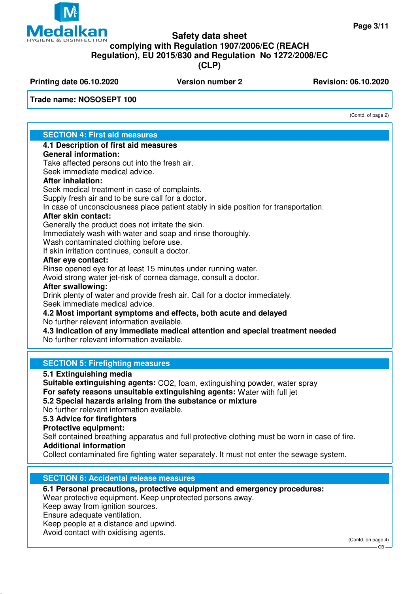

# **Safety data sheet complying with Regulation 1907/2006/EC (REACH Regulation), EU 2015/830 and Regulation No 1272/2008/EC (CLP)**

**Printing date 06.10.2020 Version number 2 Revision: 06.10.2020** 

**Trade name: NOSOSEPT 100**

(Contd. of page 2)

# **SECTION 4: First aid measures**

# **4.1 Description of first aid measures**

#### **General information:**

Take affected persons out into the fresh air.

Seek immediate medical advice.

# **After inhalation:**

Seek medical treatment in case of complaints.

Supply fresh air and to be sure call for a doctor.

In case of unconsciousness place patient stably in side position for transportation.

# **After skin contact:**

Generally the product does not irritate the skin.

Immediately wash with water and soap and rinse thoroughly.

Wash contaminated clothing before use.

If skin irritation continues, consult a doctor.

#### **After eye contact:**

Rinse opened eye for at least 15 minutes under running water.

Avoid strong water jet-risk of cornea damage, consult a doctor.

# **After swallowing:**

Drink plenty of water and provide fresh air. Call for a doctor immediately. Seek immediate medical advice.

**4.2 Most important symptoms and effects, both acute and delayed** No further relevant information available.

#### **4.3 Indication of any immediate medical attention and special treatment needed** No further relevant information available.

# **SECTION 5: Firefighting measures**

**5.1 Extinguishing media**

**Suitable extinguishing agents:** CO2, foam, extinguishing powder, water spray **For safety reasons unsuitable extinguishing agents:** Water with full jet

**5.2 Special hazards arising from the substance or mixture**

No further relevant information available.

**5.3 Advice for firefighters**

# **Protective equipment:**

Self contained breathing apparatus and full protective clothing must be worn in case of fire. **Additional information**

Collect contaminated fire fighting water separately. It must not enter the sewage system.

# **SECTION 6: Accidental release measures**

**6.1 Personal precautions, protective equipment and emergency procedures:**

Wear protective equipment. Keep unprotected persons away.

Keep away from ignition sources.

Ensure adequate ventilation.

Keep people at a distance and upwind.

Avoid contact with oxidising agents.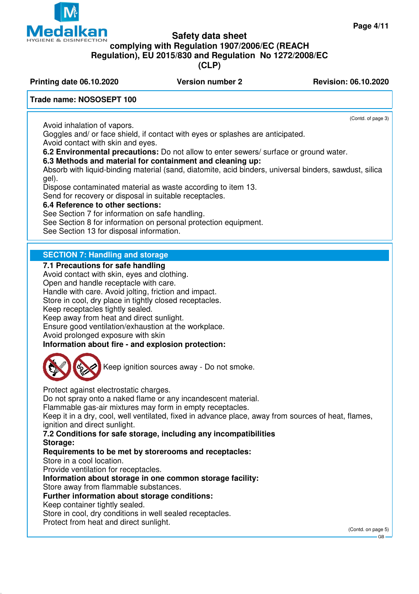**Safety data sheet**

# **complying with Regulation 1907/2006/EC (REACH**

**Regulation), EU 2015/830 and Regulation No 1272/2008/EC**

**(CLP)**

**Printing date 06.10.2020 Version number 2 Revision: 06.10.2020** 

# **Trade name: NOSOSEPT 100**

Avoid inhalation of vapors.

(Contd. of page 3)

Goggles and/ or face shield, if contact with eyes or splashes are anticipated. Avoid contact with skin and eyes.

**6.2 Environmental precautions:** Do not allow to enter sewers/ surface or ground water.

# **6.3 Methods and material for containment and cleaning up:**

Absorb with liquid-binding material (sand, diatomite, acid binders, universal binders, sawdust, silica gel).

Dispose contaminated material as waste according to item 13.

Send for recovery or disposal in suitable receptacles.

# **6.4 Reference to other sections:**

See Section 7 for information on safe handling.

See Section 8 for information on personal protection equipment.

See Section 13 for disposal information.

# **SECTION 7: Handling and storage**

#### **7.1 Precautions for safe handling**

Avoid contact with skin, eyes and clothing.

Open and handle receptacle with care.

Handle with care. Avoid jolting, friction and impact.

Store in cool, dry place in tightly closed receptacles.

Keep receptacles tightly sealed.

Keep away from heat and direct sunlight.

Ensure good ventilation/exhaustion at the workplace.

Avoid prolonged exposure with skin

**Information about fire - and explosion protection:**



Keep ignition sources away - Do not smoke.

Protect against electrostatic charges.

Do not spray onto a naked flame or any incandescent material.

Flammable gas-air mixtures may form in empty receptacles.

Keep it in a dry, cool, well ventilated, fixed in advance place, away from sources of heat, flames, ignition and direct sunlight.

**7.2 Conditions for safe storage, including any incompatibilities Storage:**

# **Requirements to be met by storerooms and receptacles:**

Store in a cool location.

Provide ventilation for receptacles.

# **Information about storage in one common storage facility:**

Store away from flammable substances.

# **Further information about storage conditions:**

#### Keep container tightly sealed.

Store in cool, dry conditions in well sealed receptacles.

Protect from heat and direct sunlight.

(Contd. on page 5)

# **Teda** kan **HYGIENE & DISINFECTION**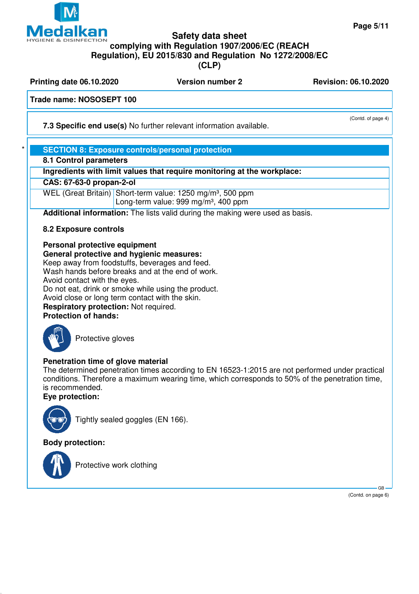

**Printing date 06.10.2020 Version number 2 Revision: 06.10.2020** 

**Trade name: NOSOSEPT 100**

**7.3 Specific end use(s)** No further relevant information available.

# **SECTION 8: Exposure controls/personal protection**

**8.1 Control parameters**

**Ingredients with limit values that require monitoring at the workplace:**

**CAS: 67-63-0 propan-2-ol**

WEL (Great Britain) Short-term value: 1250 mg/m<sup>3</sup>, 500 ppm

Long-term value: 999 mg/m<sup>3</sup>, 400 ppm

**Additional information:** The lists valid during the making were used as basis.

# **8.2 Exposure controls**

**Personal protective equipment General protective and hygienic measures:**

Keep away from foodstuffs, beverages and feed. Wash hands before breaks and at the end of work. Avoid contact with the eyes.

Do not eat, drink or smoke while using the product.

Avoid close or long term contact with the skin.

**Respiratory protection:** Not required. **Protection of hands:**



Protective gloves

# **Penetration time of glove material**

The determined penetration times according to EN 16523-1:2015 are not performed under practical conditions. Therefore a maximum wearing time, which corresponds to 50% of the penetration time, is recommended.

**Eye protection:**



Tightly sealed goggles (EN 166).

**Body protection:**



Protective work clothing

 GB (Contd. on page 6)

(Contd. of page 4)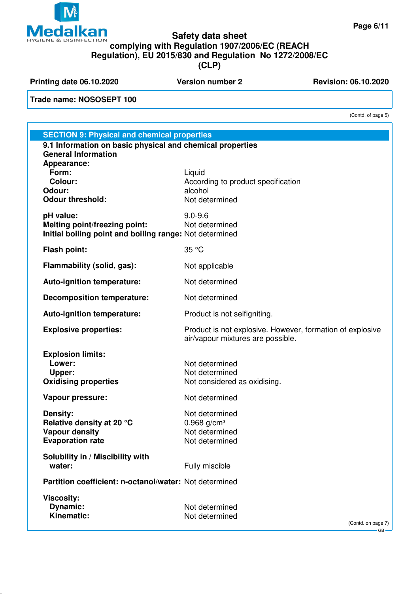

**Printing date 06.10.2020 Version number 2 Revision: 06.10.2020** 

**Trade name: NOSOSEPT 100**

(Contd. of page 5)

| <b>SECTION 9: Physical and chemical properties</b>                                                    |                                                                                                |  |
|-------------------------------------------------------------------------------------------------------|------------------------------------------------------------------------------------------------|--|
| 9.1 Information on basic physical and chemical properties                                             |                                                                                                |  |
| <b>General Information</b><br>Appearance:<br>Form:<br><b>Colour:</b><br>Odour:                        | Liquid<br>According to product specification<br>alcohol                                        |  |
| <b>Odour threshold:</b>                                                                               | Not determined                                                                                 |  |
| pH value:<br>Melting point/freezing point:<br>Initial boiling point and boiling range: Not determined | $9.0 - 9.6$<br>Not determined                                                                  |  |
| Flash point:                                                                                          | 35 °C                                                                                          |  |
| Flammability (solid, gas):                                                                            | Not applicable                                                                                 |  |
| Auto-ignition temperature:                                                                            | Not determined                                                                                 |  |
| <b>Decomposition temperature:</b>                                                                     | Not determined                                                                                 |  |
| Auto-ignition temperature:                                                                            | Product is not selfigniting.                                                                   |  |
| <b>Explosive properties:</b>                                                                          | Product is not explosive. However, formation of explosive<br>air/vapour mixtures are possible. |  |
| <b>Explosion limits:</b><br>Lower:<br>Upper:<br><b>Oxidising properties</b>                           | Not determined<br>Not determined<br>Not considered as oxidising.                               |  |
| <b>Vapour pressure:</b>                                                                               | Not determined                                                                                 |  |
| <b>Density:</b><br>Relative density at 20 °C<br><b>Vapour density</b><br><b>Evaporation rate</b>      | Not determined<br>$0.968$ g/cm <sup>3</sup><br>Not determined<br>Not determined                |  |
| Solubility in / Miscibility with<br>water:                                                            | Fully miscible                                                                                 |  |
| Partition coefficient: n-octanol/water: Not determined                                                |                                                                                                |  |
| <b>Viscosity:</b><br>Dynamic:<br>Kinematic:                                                           | Not determined<br>Not determined                                                               |  |
|                                                                                                       | (Contd. on page 7)<br>$GB -$                                                                   |  |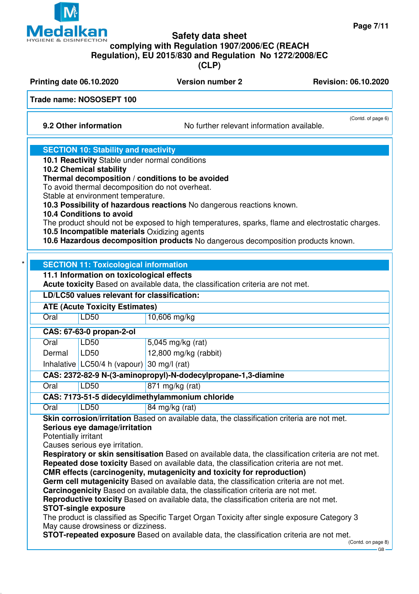

# **Safety data sheet complying with Regulation 1907/2006/EC (REACH Regulation), EU 2015/830 and Regulation No 1272/2008/EC**

**(CLP)**

**Printing date 06.10.2020 Version number 2 Revision: 06.10.2020** 

# **Trade name: NOSOSEPT 100**

**9.2 Other information** No further relevant information available.

(Contd. of page 6)

# **SECTION 10: Stability and reactivity**

**10.1 Reactivity** Stable under normal conditions

**10.2 Chemical stability**

# **Thermal decomposition / conditions to be avoided**

To avoid thermal decomposition do not overheat.

Stable at environment temperature.

**10.3 Possibility of hazardous reactions** No dangerous reactions known.

# **10.4 Conditions to avoid**

The product should not be exposed to high temperatures, sparks, flame and electrostatic charges. **10.5 Incompatible materials** Oxidizing agents

**10.6 Hazardous decomposition products** No dangerous decomposition products known.

|                      | LD/LC50 values relevant for classification:                                                                                          |                                                                                                                                                                                                                                                                                                                                                                                                                                                                                                                                                                                                                                                        |
|----------------------|--------------------------------------------------------------------------------------------------------------------------------------|--------------------------------------------------------------------------------------------------------------------------------------------------------------------------------------------------------------------------------------------------------------------------------------------------------------------------------------------------------------------------------------------------------------------------------------------------------------------------------------------------------------------------------------------------------------------------------------------------------------------------------------------------------|
|                      | <b>ATE (Acute Toxicity Estimates)</b>                                                                                                |                                                                                                                                                                                                                                                                                                                                                                                                                                                                                                                                                                                                                                                        |
| Oral                 | <b>LD50</b>                                                                                                                          | 10,606 mg/kg                                                                                                                                                                                                                                                                                                                                                                                                                                                                                                                                                                                                                                           |
|                      | CAS: 67-63-0 propan-2-ol                                                                                                             |                                                                                                                                                                                                                                                                                                                                                                                                                                                                                                                                                                                                                                                        |
| Oral                 | <b>LD50</b>                                                                                                                          | 5,045 mg/kg (rat)                                                                                                                                                                                                                                                                                                                                                                                                                                                                                                                                                                                                                                      |
| Dermal               | LD50                                                                                                                                 | 12,800 mg/kg (rabbit)                                                                                                                                                                                                                                                                                                                                                                                                                                                                                                                                                                                                                                  |
|                      | Inhalative LC50/4 h (vapour) 30 mg/l (rat)                                                                                           |                                                                                                                                                                                                                                                                                                                                                                                                                                                                                                                                                                                                                                                        |
|                      |                                                                                                                                      | CAS: 2372-82-9 N-(3-aminopropyl)-N-dodecylpropane-1,3-diamine                                                                                                                                                                                                                                                                                                                                                                                                                                                                                                                                                                                          |
| Oral                 | <b>LD50</b>                                                                                                                          | 871 mg/kg (rat)                                                                                                                                                                                                                                                                                                                                                                                                                                                                                                                                                                                                                                        |
|                      |                                                                                                                                      | CAS: 7173-51-5 didecyldimethylammonium chloride                                                                                                                                                                                                                                                                                                                                                                                                                                                                                                                                                                                                        |
| Oral                 | LD50                                                                                                                                 | 84 mg/kg (rat)                                                                                                                                                                                                                                                                                                                                                                                                                                                                                                                                                                                                                                         |
| Potentially irritant | Serious eye damage/irritation<br>Causes serious eye irritation.<br><b>STOT-single exposure</b><br>May cause drowsiness or dizziness. | Respiratory or skin sensitisation Based on available data, the classification criteria are not met.<br>Repeated dose toxicity Based on available data, the classification criteria are not met.<br>CMR effects (carcinogenity, mutagenicity and toxicity for reproduction)<br>Germ cell mutagenicity Based on available data, the classification criteria are not met.<br>Carcinogenicity Based on available data, the classification criteria are not met.<br>Reproductive toxicity Based on available data, the classification criteria are not met.<br>The product is classified as Specific Target Organ Toxicity after single exposure Category 3 |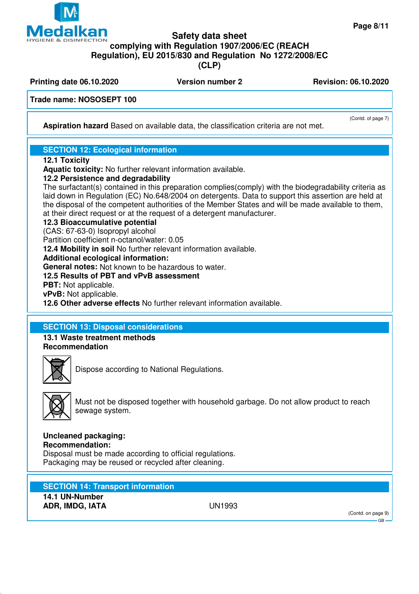

**Printing date 06.10.2020 Version number 2 Revision: 06.10.2020** 

**Trade name: NOSOSEPT 100**

**Aspiration hazard** Based on available data, the classification criteria are not met.

# **SECTION 12: Ecological information**

# **12.1 Toxicity**

**Aquatic toxicity:** No further relevant information available.

# **12.2 Persistence and degradability**

The surfactant(s) contained in this preparation complies(comply) with the biodegradability criteria as laid down in Regulation (EC) No.648/2004 on detergents. Data to support this assertion are held at the disposal of the competent authorities of the Member States and will be made available to them, at their direct request or at the request of a detergent manufacturer.

# **12.3 Bioaccumulative potential**

(CAS: 67-63-0) Isopropyl alcohol

Partition coefficient n-octanol/water: 0.05

**12.4 Mobility in soil** No further relevant information available.

# **Additional ecological information:**

**General notes:** Not known to be hazardous to water.

# **12.5 Results of PBT and vPvB assessment**

**PBT:** Not applicable.

**vPvB:** Not applicable.

**12.6 Other adverse effects** No further relevant information available.

# **SECTION 13: Disposal considerations**

#### **13.1 Waste treatment methods Recommendation**





Dispose according to National Regulations.



Must not be disposed together with household garbage. Do not allow product to reach sewage system.

# **Uncleaned packaging:**

**Recommendation:** Disposal must be made according to official regulations. Packaging may be reused or recycled after cleaning.

**SECTION 14: Transport information**

**14.1 UN-Number ADR, IMDG, IATA** UN1993

(Contd. on page 9) GB

(Contd. of page 7)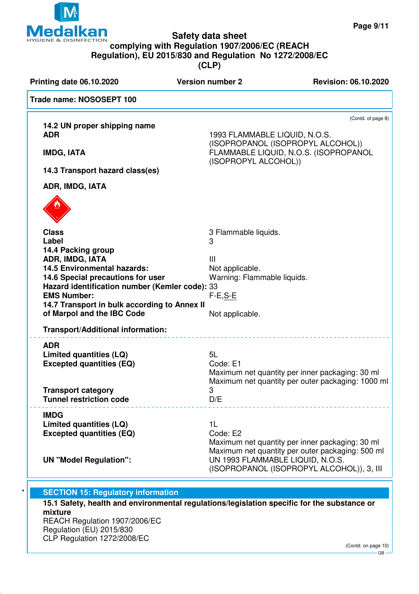

| <b>Printing date 06.10.2020</b>                                                     | <b>Version number 2</b>          | <b>Revision: 06.10.2020</b>                             |
|-------------------------------------------------------------------------------------|----------------------------------|---------------------------------------------------------|
| Trade name: NOSOSEPT 100                                                            |                                  |                                                         |
| 14.2 UN proper shipping name<br><b>ADR</b>                                          | 1993 FLAMMABLE LIQUID, N.O.S.    | (Contd. of page 8)<br>(ISOPROPANOL (ISOPROPYL ALCOHOL)) |
| <b>IMDG, IATA</b>                                                                   | (ISOPROPYL ALCOHOL))             | FLAMMABLE LIQUID, N.O.S. (ISOPROPANOL                   |
| 14.3 Transport hazard class(es)                                                     |                                  |                                                         |
| ADR, IMDG, IATA                                                                     |                                  |                                                         |
|                                                                                     |                                  |                                                         |
| <b>Class</b><br>Label                                                               | 3 Flammable liquids.<br>3        |                                                         |
| 14.4 Packing group                                                                  |                                  |                                                         |
| ADR, IMDG, IATA                                                                     | Ш                                |                                                         |
| <b>14.5 Environmental hazards:</b>                                                  | Not applicable.                  |                                                         |
| 14.6 Special precautions for user<br>Hazard identification number (Kemler code): 33 | Warning: Flammable liquids.      |                                                         |
| <b>EMS Number:</b>                                                                  | $F-E, S-E$                       |                                                         |
| 14.7 Transport in bulk according to Annex II                                        |                                  |                                                         |
| of Marpol and the IBC Code                                                          | Not applicable.                  |                                                         |
| Transport/Additional information:                                                   |                                  |                                                         |
| <b>ADR</b>                                                                          |                                  |                                                         |
| Limited quantities (LQ)                                                             | 5L                               |                                                         |
| <b>Excepted quantities (EQ)</b>                                                     | Code: E1                         | Maximum net quantity per inner packaging: 30 ml         |
|                                                                                     |                                  | Maximum net quantity per outer packaging: 1000 ml       |
| <b>Transport category</b>                                                           | з                                |                                                         |
| <b>Tunnel restriction code</b>                                                      | D/E                              |                                                         |
| <b>IMDG</b>                                                                         |                                  |                                                         |
| Limited quantities (LQ)<br><b>Excepted quantities (EQ)</b>                          | 1 <sub>L</sub><br>Code: E2       |                                                         |
|                                                                                     |                                  | Maximum net quantity per inner packaging: 30 ml         |
|                                                                                     |                                  | Maximum net quantity per outer packaging: 500 ml        |
| <b>UN "Model Regulation":</b>                                                       | UN 1993 FLAMMABLE LIQUID, N.O.S. | (ISOPROPANOL (ISOPROPYL ALCOHOL)), 3, III               |
|                                                                                     |                                  |                                                         |

**mixture** REACH Regulation 1907/2006/EC Regulation (EU) 2015/830 CLP Regulation 1272/2008/EC

(Contd. on page 10)  $-$  GB  $\overline{\phantom{a}}$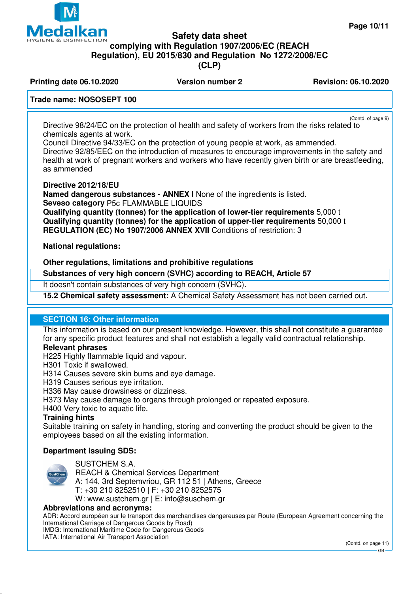

# **Safety data sheet complying with Regulation 1907/2006/EC (REACH Regulation), EU 2015/830 and Regulation No 1272/2008/EC**

**(CLP)**

**Printing date 06.10.2020 Version number 2 Revision: 06.10.2020** 

# **Trade name: NOSOSEPT 100**

(Contd. of page 9) Directive 98/24/EC on the protection of health and safety of workers from the risks related to chemicals agents at work.

Council Directive 94/33/EC on the protection of young people at work, as ammended. Directive 92/85/EEC on the introduction of measures to encourage improvements in the safety and health at work of pregnant workers and workers who have recently given birth or are breastfeeding, as ammended

**Directive 2012/18/EU**

**Named dangerous substances - ANNEX I** None of the ingredients is listed. **Seveso category** P5c FLAMMABLE LIQUIDS

**Qualifying quantity (tonnes) for the application of lower-tier requirements** 5,000 t **Qualifying quantity (tonnes) for the application of upper-tier requirements** 50,000 t **REGULATION (EC) No 1907/2006 ANNEX XVII** Conditions of restriction: 3

**National regulations:**

# **Other regulations, limitations and prohibitive regulations**

**Substances of very high concern (SVHC) according to REACH, Article 57**

It doesn't contain substances of very high concern (SVHC).

**15.2 Chemical safety assessment:** A Chemical Safety Assessment has not been carried out.

# **SECTION 16: Other information**

This information is based on our present knowledge. However, this shall not constitute a guarantee for any specific product features and shall not establish a legally valid contractual relationship.

# **Relevant phrases**

H225 Highly flammable liquid and vapour.

H301 Toxic if swallowed.

H314 Causes severe skin burns and eye damage.

H319 Causes serious eye irritation.

H336 May cause drowsiness or dizziness.

H373 May cause damage to organs through prolonged or repeated exposure.

H400 Very toxic to aquatic life.

#### **Training hints**

Suitable training on safety in handling, storing and converting the product should be given to the employees based on all the existing information.

# **Department issuing SDS:**



SUSTCHEM S.A.

REACH & Chemical Services Department A: 144, 3rd Septemvriou, GR 112 51 | Athens, Greece

T: +30 210 8252510 | F: +30 210 8252575

W: www.sustchem.gr | E: info@suschem.gr

#### **Abbreviations and acronyms:**

ADR: Accord européen sur le transport des marchandises dangereuses par Route (European Agreement concerning the International Carriage of Dangerous Goods by Road) IMDG: International Maritime Code for Dangerous Goods IATA: International Air Transport Association